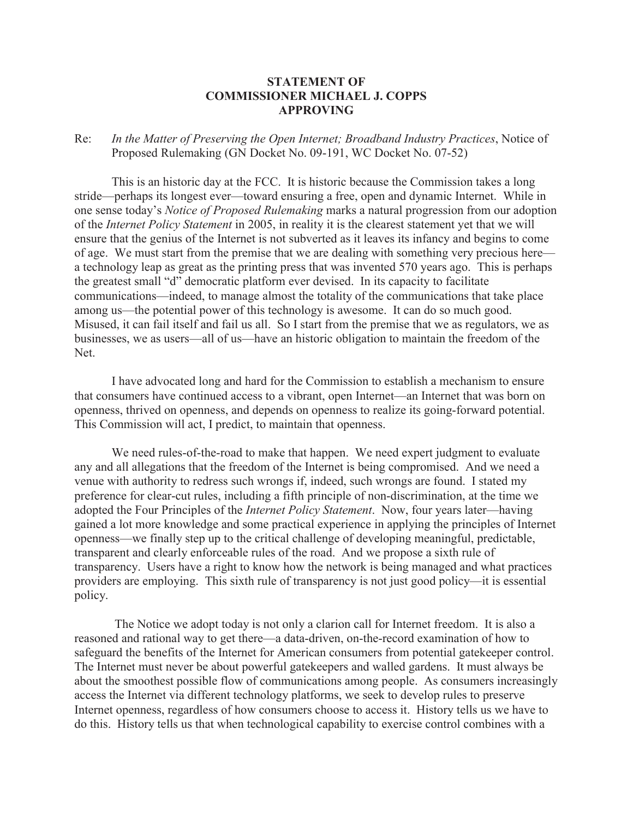## **STATEMENT OF COMMISSIONER MICHAEL J. COPPS APPROVING**

Re: *In the Matter of Preserving the Open Internet; Broadband Industry Practices*, Notice of Proposed Rulemaking (GN Docket No. 09-191, WC Docket No. 07-52)

This is an historic day at the FCC. It is historic because the Commission takes a long stride—perhaps its longest ever—toward ensuring a free, open and dynamic Internet. While in one sense today's *Notice of Proposed Rulemaking* marks a natural progression from our adoption of the *Internet Policy Statement* in 2005, in reality it is the clearest statement yet that we will ensure that the genius of the Internet is not subverted as it leaves its infancy and begins to come of age. We must start from the premise that we are dealing with something very precious here a technology leap as great as the printing press that was invented 570 years ago. This is perhaps the greatest small "d" democratic platform ever devised. In its capacity to facilitate communications—indeed, to manage almost the totality of the communications that take place among us—the potential power of this technology is awesome. It can do so much good. Misused, it can fail itself and fail us all. So I start from the premise that we as regulators, we as businesses, we as users—all of us—have an historic obligation to maintain the freedom of the Net.

I have advocated long and hard for the Commission to establish a mechanism to ensure that consumers have continued access to a vibrant, open Internet—an Internet that was born on openness, thrived on openness, and depends on openness to realize its going-forward potential. This Commission will act, I predict, to maintain that openness.

We need rules-of-the-road to make that happen. We need expert judgment to evaluate any and all allegations that the freedom of the Internet is being compromised. And we need a venue with authority to redress such wrongs if, indeed, such wrongs are found. I stated my preference for clear-cut rules, including a fifth principle of non-discrimination, at the time we adopted the Four Principles of the *Internet Policy Statement*. Now, four years later—having gained a lot more knowledge and some practical experience in applying the principles of Internet openness—we finally step up to the critical challenge of developing meaningful, predictable, transparent and clearly enforceable rules of the road. And we propose a sixth rule of transparency. Users have a right to know how the network is being managed and what practices providers are employing. This sixth rule of transparency is not just good policy—it is essential policy.

The Notice we adopt today is not only a clarion call for Internet freedom. It is also a reasoned and rational way to get there—a data-driven, on-the-record examination of how to safeguard the benefits of the Internet for American consumers from potential gatekeeper control. The Internet must never be about powerful gatekeepers and walled gardens. It must always be about the smoothest possible flow of communications among people. As consumers increasingly access the Internet via different technology platforms, we seek to develop rules to preserve Internet openness, regardless of how consumers choose to access it. History tells us we have to do this. History tells us that when technological capability to exercise control combines with a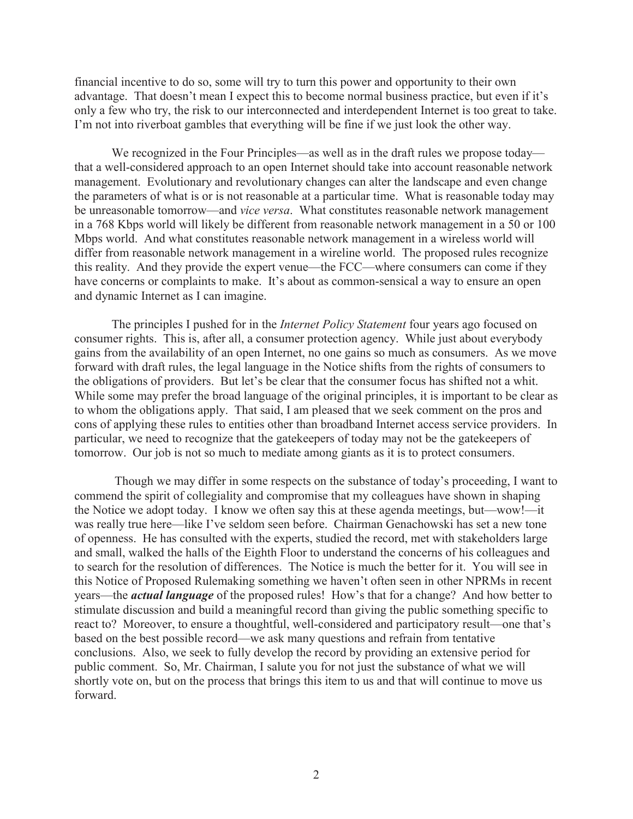financial incentive to do so, some will try to turn this power and opportunity to their own advantage. That doesn't mean I expect this to become normal business practice, but even if it's only a few who try, the risk to our interconnected and interdependent Internet is too great to take. I'm not into riverboat gambles that everything will be fine if we just look the other way.

We recognized in the Four Principles—as well as in the draft rules we propose today that a well-considered approach to an open Internet should take into account reasonable network management. Evolutionary and revolutionary changes can alter the landscape and even change the parameters of what is or is not reasonable at a particular time. What is reasonable today may be unreasonable tomorrow—and *vice versa*. What constitutes reasonable network management in a 768 Kbps world will likely be different from reasonable network management in a 50 or 100 Mbps world. And what constitutes reasonable network management in a wireless world will differ from reasonable network management in a wireline world. The proposed rules recognize this reality. And they provide the expert venue—the FCC—where consumers can come if they have concerns or complaints to make. It's about as common-sensical a way to ensure an open and dynamic Internet as I can imagine.

The principles I pushed for in the *Internet Policy Statement* four years ago focused on consumer rights. This is, after all, a consumer protection agency. While just about everybody gains from the availability of an open Internet, no one gains so much as consumers. As we move forward with draft rules, the legal language in the Notice shifts from the rights of consumers to the obligations of providers. But let's be clear that the consumer focus has shifted not a whit. While some may prefer the broad language of the original principles, it is important to be clear as to whom the obligations apply. That said, I am pleased that we seek comment on the pros and cons of applying these rules to entities other than broadband Internet access service providers. In particular, we need to recognize that the gatekeepers of today may not be the gatekeepers of tomorrow. Our job is not so much to mediate among giants as it is to protect consumers.

Though we may differ in some respects on the substance of today's proceeding, I want to commend the spirit of collegiality and compromise that my colleagues have shown in shaping the Notice we adopt today. I know we often say this at these agenda meetings, but—wow!—it was really true here—like I've seldom seen before. Chairman Genachowski has set a new tone of openness. He has consulted with the experts, studied the record, met with stakeholders large and small, walked the halls of the Eighth Floor to understand the concerns of his colleagues and to search for the resolution of differences. The Notice is much the better for it. You will see in this Notice of Proposed Rulemaking something we haven't often seen in other NPRMs in recent years—the *actual language* of the proposed rules! How's that for a change? And how better to stimulate discussion and build a meaningful record than giving the public something specific to react to? Moreover, to ensure a thoughtful, well-considered and participatory result—one that's based on the best possible record—we ask many questions and refrain from tentative conclusions. Also, we seek to fully develop the record by providing an extensive period for public comment. So, Mr. Chairman, I salute you for not just the substance of what we will shortly vote on, but on the process that brings this item to us and that will continue to move us forward.